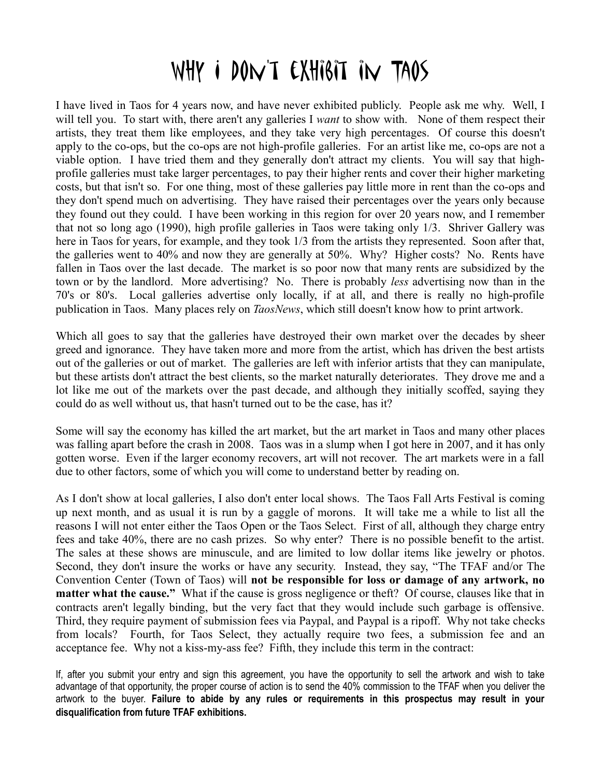## WHY I DON'T EXHIBIT IN TAOS

I have lived in Taos for 4 years now, and have never exhibited publicly. People ask me why. Well, I will tell you. To start with, there aren't any galleries I *want* to show with. None of them respect their artists, they treat them like employees, and they take very high percentages. Of course this doesn't apply to the co-ops, but the co-ops are not high-profile galleries. For an artist like me, co-ops are not a viable option. I have tried them and they generally don't attract my clients. You will say that highprofile galleries must take larger percentages, to pay their higher rents and cover their higher marketing costs, but that isn't so. For one thing, most of these galleries pay little more in rent than the co-ops and they don't spend much on advertising. They have raised their percentages over the years only because they found out they could. I have been working in this region for over 20 years now, and I remember that not so long ago (1990), high profile galleries in Taos were taking only 1/3. Shriver Gallery was here in Taos for years, for example, and they took  $1/3$  from the artists they represented. Soon after that, the galleries went to 40% and now they are generally at 50%. Why? Higher costs? No. Rents have fallen in Taos over the last decade. The market is so poor now that many rents are subsidized by the town or by the landlord. More advertising? No. There is probably *less* advertising now than in the 70's or 80's. Local galleries advertise only locally, if at all, and there is really no high-profile publication in Taos. Many places rely on *TaosNews*, which still doesn't know how to print artwork.

Which all goes to say that the galleries have destroyed their own market over the decades by sheer greed and ignorance. They have taken more and more from the artist, which has driven the best artists out of the galleries or out of market. The galleries are left with inferior artists that they can manipulate, but these artists don't attract the best clients, so the market naturally deteriorates. They drove me and a lot like me out of the markets over the past decade, and although they initially scoffed, saying they could do as well without us, that hasn't turned out to be the case, has it?

Some will say the economy has killed the art market, but the art market in Taos and many other places was falling apart before the crash in 2008. Taos was in a slump when I got here in 2007, and it has only gotten worse. Even if the larger economy recovers, art will not recover. The art markets were in a fall due to other factors, some of which you will come to understand better by reading on.

As I don't show at local galleries, I also don't enter local shows. The Taos Fall Arts Festival is coming up next month, and as usual it is run by a gaggle of morons. It will take me a while to list all the reasons I will not enter either the Taos Open or the Taos Select. First of all, although they charge entry fees and take 40%, there are no cash prizes. So why enter? There is no possible benefit to the artist. The sales at these shows are minuscule, and are limited to low dollar items like jewelry or photos. Second, they don't insure the works or have any security. Instead, they say, "The TFAF and/or The Convention Center (Town of Taos) will **not be responsible for loss or damage of any artwork, no matter what the cause."** What if the cause is gross negligence or theft? Of course, clauses like that in contracts aren't legally binding, but the very fact that they would include such garbage is offensive. Third, they require payment of submission fees via Paypal, and Paypal is a ripoff. Why not take checks from locals? Fourth, for Taos Select, they actually require two fees, a submission fee and an acceptance fee. Why not a kiss-my-ass fee? Fifth, they include this term in the contract:

If, after you submit your entry and sign this agreement, you have the opportunity to sell the artwork and wish to take advantage of that opportunity, the proper course of action is to send the 40% commission to the TFAF when you deliver the artwork to the buyer. **Failure to abide by any rules or requirements in this prospectus may result in your disqualification from future TFAF exhibitions.**